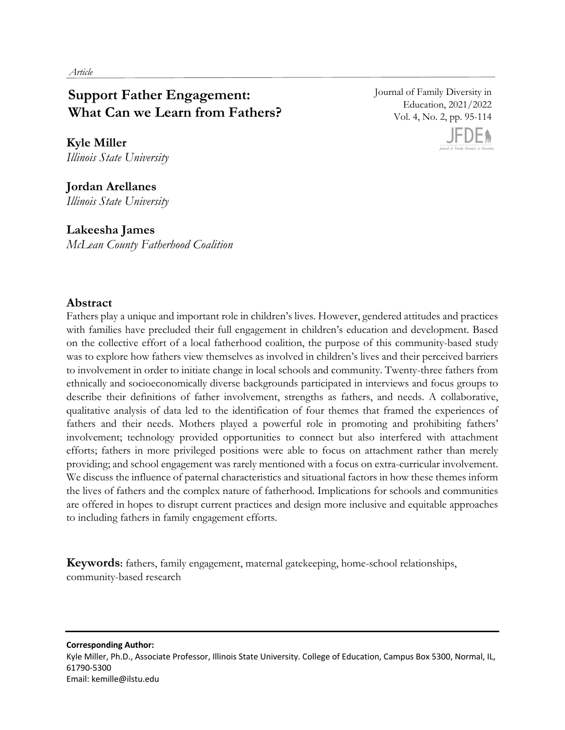# **Support Father Engagement: What Can we Learn from Fathers?**

**Kyle Miller**  *Illinois State University* 

**Jordan Arellanes** *Illinois State University*

**Lakeesha James** *McLean County Fatherhood Coalition*  Journal of Family Diversity in Education, 2021/2022 Vol. 4, No. 2, pp. 95-114



# **Abstract**

Fathers play a unique and important role in children's lives. However, gendered attitudes and practices with families have precluded their full engagement in children's education and development. Based on the collective effort of a local fatherhood coalition, the purpose of this community-based study was to explore how fathers view themselves as involved in children's lives and their perceived barriers to involvement in order to initiate change in local schools and community. Twenty-three fathers from ethnically and socioeconomically diverse backgrounds participated in interviews and focus groups to describe their definitions of father involvement, strengths as fathers, and needs. A collaborative, qualitative analysis of data led to the identification of four themes that framed the experiences of fathers and their needs. Mothers played a powerful role in promoting and prohibiting fathers' involvement; technology provided opportunities to connect but also interfered with attachment efforts; fathers in more privileged positions were able to focus on attachment rather than merely providing; and school engagement was rarely mentioned with a focus on extra-curricular involvement. We discuss the influence of paternal characteristics and situational factors in how these themes inform the lives of fathers and the complex nature of fatherhood. Implications for schools and communities are offered in hopes to disrupt current practices and design more inclusive and equitable approaches to including fathers in family engagement efforts.

**Keywords:** fathers, family engagement, maternal gatekeeping, home-school relationships, community-based research

**Corresponding Author:**  Kyle Miller, Ph.D., Associate Professor, Illinois State University. College of Education, Campus Box 5300, Normal, IL, 61790-5300 Email: kemille@ilstu.edu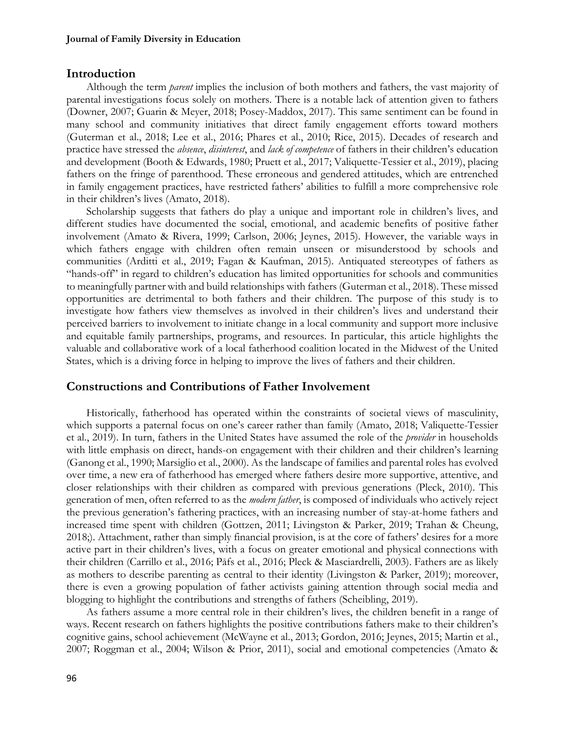# **Introduction**

Although the term *parent* implies the inclusion of both mothers and fathers, the vast majority of parental investigations focus solely on mothers. There is a notable lack of attention given to fathers (Downer, 2007; Guarin & Meyer, 2018; Posey-Maddox, 2017). This same sentiment can be found in many school and community initiatives that direct family engagement efforts toward mothers (Guterman et al., 2018; Lee et al., 2016; Phares et al., 2010; Rice, 2015). Decades of research and practice have stressed the *absence*, *disinterest*, and *lack of competence* of fathers in their children's education and development (Booth & Edwards, 1980; Pruett et al., 2017; Valiquette-Tessier et al., 2019), placing fathers on the fringe of parenthood. These erroneous and gendered attitudes, which are entrenched in family engagement practices, have restricted fathers' abilities to fulfill a more comprehensive role in their children's lives (Amato, 2018).

Scholarship suggests that fathers do play a unique and important role in children's lives, and different studies have documented the social, emotional, and academic benefits of positive father involvement (Amato & Rivera, 1999; Carlson, 2006; Jeynes, 2015). However, the variable ways in which fathers engage with children often remain unseen or misunderstood by schools and communities (Arditti et al., 2019; Fagan & Kaufman, 2015). Antiquated stereotypes of fathers as "hands-off" in regard to children's education has limited opportunities for schools and communities to meaningfully partner with and build relationships with fathers (Guterman et al., 2018). These missed opportunities are detrimental to both fathers and their children. The purpose of this study is to investigate how fathers view themselves as involved in their children's lives and understand their perceived barriers to involvement to initiate change in a local community and support more inclusive and equitable family partnerships, programs, and resources. In particular, this article highlights the valuable and collaborative work of a local fatherhood coalition located in the Midwest of the United States, which is a driving force in helping to improve the lives of fathers and their children.

# **Constructions and Contributions of Father Involvement**

Historically, fatherhood has operated within the constraints of societal views of masculinity, which supports a paternal focus on one's career rather than family (Amato, 2018; Valiquette-Tessier et al., 2019). In turn, fathers in the United States have assumed the role of the *provider* in households with little emphasis on direct, hands-on engagement with their children and their children's learning (Ganong et al., 1990; Marsiglio et al., 2000). As the landscape of families and parental roles has evolved over time, a new era of fatherhood has emerged where fathers desire more supportive, attentive, and closer relationships with their children as compared with previous generations (Pleck, 2010). This generation of men, often referred to as the *modern father*, is composed of individuals who actively reject the previous generation's fathering practices, with an increasing number of stay-at-home fathers and increased time spent with children (Gottzen, 2011; Livingston & Parker, 2019; Trahan & Cheung, 2018;). Attachment, rather than simply financial provision, is at the core of fathers' desires for a more active part in their children's lives, with a focus on greater emotional and physical connections with their children (Carrillo et al., 2016; Påfs et al., 2016; Pleck & Masciardrelli, 2003). Fathers are as likely as mothers to describe parenting as central to their identity (Livingston & Parker, 2019); moreover, there is even a growing population of father activists gaining attention through social media and blogging to highlight the contributions and strengths of fathers (Scheibling, 2019).

As fathers assume a more central role in their children's lives, the children benefit in a range of ways. Recent research on fathers highlights the positive contributions fathers make to their children's cognitive gains, school achievement (McWayne et al., 2013; Gordon, 2016; Jeynes, 2015; Martin et al., 2007; Roggman et al., 2004; Wilson & Prior, 2011), social and emotional competencies (Amato &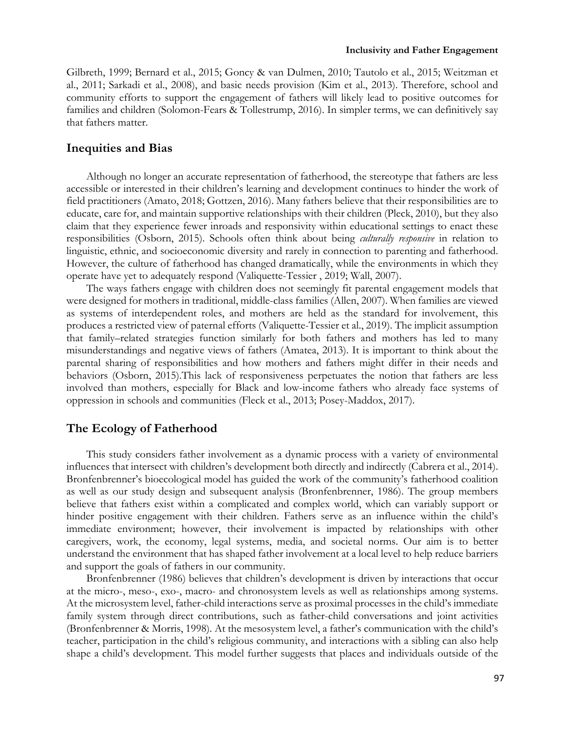Gilbreth, 1999; Bernard et al., 2015; Goncy & van Dulmen, 2010; Tautolo et al., 2015; Weitzman et al., 2011; Sarkadi et al., 2008), and basic needs provision (Kim et al., 2013). Therefore, school and community efforts to support the engagement of fathers will likely lead to positive outcomes for families and children (Solomon-Fears & Tollestrump, 2016). In simpler terms, we can definitively say that fathers matter.

# **Inequities and Bias**

Although no longer an accurate representation of fatherhood, the stereotype that fathers are less accessible or interested in their children's learning and development continues to hinder the work of field practitioners (Amato, 2018; Gottzen, 2016). Many fathers believe that their responsibilities are to educate, care for, and maintain supportive relationships with their children (Pleck, 2010), but they also claim that they experience fewer inroads and responsivity within educational settings to enact these responsibilities (Osborn, 2015). Schools often think about being *culturally responsive* in relation to linguistic, ethnic, and socioeconomic diversity and rarely in connection to parenting and fatherhood. However, the culture of fatherhood has changed dramatically, while the environments in which they operate have yet to adequately respond (Valiquette-Tessier , 2019; Wall, 2007).

The ways fathers engage with children does not seemingly fit parental engagement models that were designed for mothers in traditional, middle-class families (Allen, 2007). When families are viewed as systems of interdependent roles, and mothers are held as the standard for involvement, this produces a restricted view of paternal efforts (Valiquette-Tessier et al., 2019). The implicit assumption that family–related strategies function similarly for both fathers and mothers has led to many misunderstandings and negative views of fathers (Amatea, 2013). It is important to think about the parental sharing of responsibilities and how mothers and fathers might differ in their needs and behaviors (Osborn, 2015).This lack of responsiveness perpetuates the notion that fathers are less involved than mothers, especially for Black and low-income fathers who already face systems of oppression in schools and communities (Fleck et al., 2013; Posey-Maddox, 2017).

# **The Ecology of Fatherhood**

This study considers father involvement as a dynamic process with a variety of environmental influences that intersect with children's development both directly and indirectly (Cabrera et al., 2014). Bronfenbrenner's bioecological model has guided the work of the community's fatherhood coalition as well as our study design and subsequent analysis (Bronfenbrenner, 1986). The group members believe that fathers exist within a complicated and complex world, which can variably support or hinder positive engagement with their children. Fathers serve as an influence within the child's immediate environment; however, their involvement is impacted by relationships with other caregivers, work, the economy, legal systems, media, and societal norms. Our aim is to better understand the environment that has shaped father involvement at a local level to help reduce barriers and support the goals of fathers in our community.

Bronfenbrenner (1986) believes that children's development is driven by interactions that occur at the micro-, meso-, exo-, macro- and chronosystem levels as well as relationships among systems. At the microsystem level, father-child interactions serve as proximal processes in the child's immediate family system through direct contributions, such as father-child conversations and joint activities (Bronfenbrenner & Morris, 1998). At the mesosystem level, a father's communication with the child's teacher, participation in the child's religious community, and interactions with a sibling can also help shape a child's development. This model further suggests that places and individuals outside of the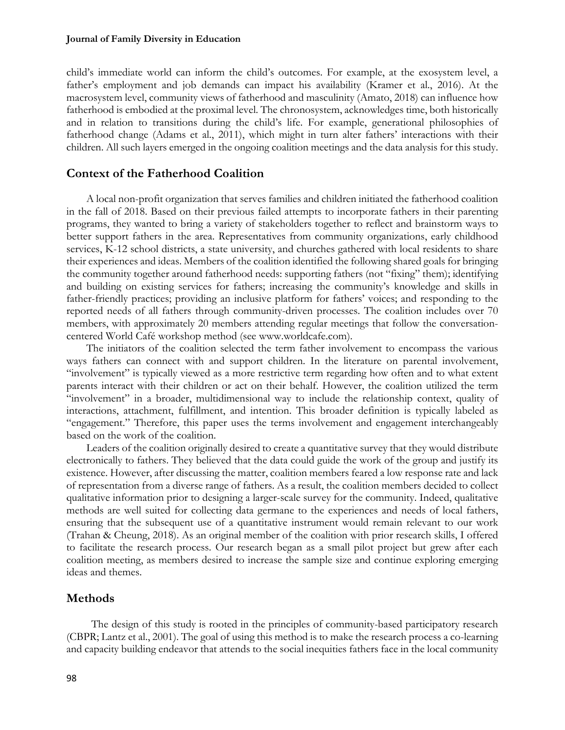child's immediate world can inform the child's outcomes. For example, at the exosystem level, a father's employment and job demands can impact his availability (Kramer et al., 2016). At the macrosystem level, community views of fatherhood and masculinity (Amato, 2018) can influence how fatherhood is embodied at the proximal level. The chronosystem, acknowledges time, both historically and in relation to transitions during the child's life. For example, generational philosophies of fatherhood change (Adams et al., 2011), which might in turn alter fathers' interactions with their children. All such layers emerged in the ongoing coalition meetings and the data analysis for this study.

# **Context of the Fatherhood Coalition**

A local non-profit organization that serves families and children initiated the fatherhood coalition in the fall of 2018. Based on their previous failed attempts to incorporate fathers in their parenting programs, they wanted to bring a variety of stakeholders together to reflect and brainstorm ways to better support fathers in the area. Representatives from community organizations, early childhood services, K-12 school districts, a state university, and churches gathered with local residents to share their experiences and ideas. Members of the coalition identified the following shared goals for bringing the community together around fatherhood needs: supporting fathers (not "fixing" them); identifying and building on existing services for fathers; increasing the community's knowledge and skills in father-friendly practices; providing an inclusive platform for fathers' voices; and responding to the reported needs of all fathers through community-driven processes. The coalition includes over 70 members, with approximately 20 members attending regular meetings that follow the conversationcentered World Café workshop method (see www.worldcafe.com).

The initiators of the coalition selected the term father involvement to encompass the various ways fathers can connect with and support children. In the literature on parental involvement, "involvement" is typically viewed as a more restrictive term regarding how often and to what extent parents interact with their children or act on their behalf. However, the coalition utilized the term "involvement" in a broader, multidimensional way to include the relationship context, quality of interactions, attachment, fulfillment, and intention. This broader definition is typically labeled as "engagement." Therefore, this paper uses the terms involvement and engagement interchangeably based on the work of the coalition.

Leaders of the coalition originally desired to create a quantitative survey that they would distribute electronically to fathers. They believed that the data could guide the work of the group and justify its existence. However, after discussing the matter, coalition members feared a low response rate and lack of representation from a diverse range of fathers. As a result, the coalition members decided to collect qualitative information prior to designing a larger-scale survey for the community. Indeed, qualitative methods are well suited for collecting data germane to the experiences and needs of local fathers, ensuring that the subsequent use of a quantitative instrument would remain relevant to our work (Trahan & Cheung, 2018). As an original member of the coalition with prior research skills, I offered to facilitate the research process. Our research began as a small pilot project but grew after each coalition meeting, as members desired to increase the sample size and continue exploring emerging ideas and themes.

# **Methods**

The design of this study is rooted in the principles of community-based participatory research (CBPR; Lantz et al., 2001). The goal of using this method is to make the research process a co-learning and capacity building endeavor that attends to the social inequities fathers face in the local community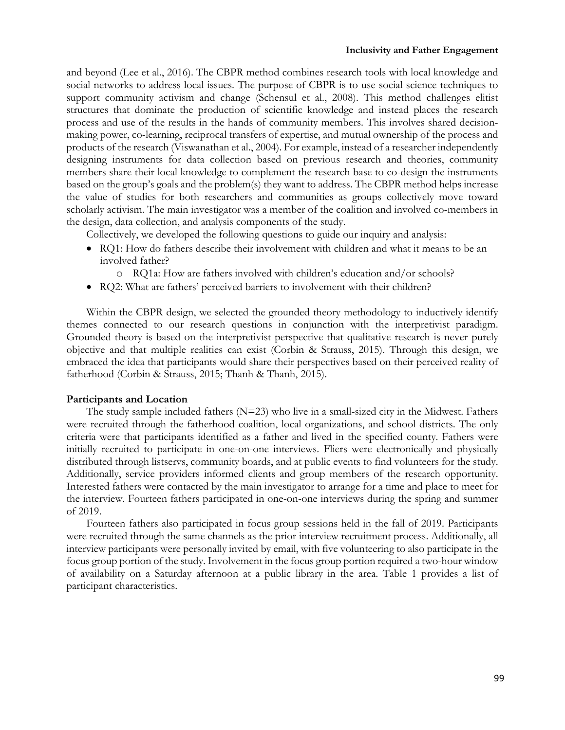#### **Inclusivity and Father Engagement**

and beyond (Lee et al., 2016). The CBPR method combines research tools with local knowledge and social networks to address local issues. The purpose of CBPR is to use social science techniques to support community activism and change (Schensul et al., 2008). This method challenges elitist structures that dominate the production of scientific knowledge and instead places the research process and use of the results in the hands of community members. This involves shared decisionmaking power, co-learning, reciprocal transfers of expertise, and mutual ownership of the process and products of the research (Viswanathan et al., 2004). For example, instead of a researcher independently designing instruments for data collection based on previous research and theories, community members share their local knowledge to complement the research base to co-design the instruments based on the group's goals and the problem(s) they want to address. The CBPR method helps increase the value of studies for both researchers and communities as groups collectively move toward scholarly activism. The main investigator was a member of the coalition and involved co-members in the design, data collection, and analysis components of the study.

Collectively, we developed the following questions to guide our inquiry and analysis:

- RQ1: How do fathers describe their involvement with children and what it means to be an involved father?
	- o RQ1a: How are fathers involved with children's education and/or schools?
- RQ2: What are fathers' perceived barriers to involvement with their children?

Within the CBPR design, we selected the grounded theory methodology to inductively identify themes connected to our research questions in conjunction with the interpretivist paradigm. Grounded theory is based on the interpretivist perspective that qualitative research is never purely objective and that multiple realities can exist (Corbin & Strauss, 2015). Through this design, we embraced the idea that participants would share their perspectives based on their perceived reality of fatherhood (Corbin & Strauss, 2015; Thanh & Thanh, 2015).

## **Participants and Location**

The study sample included fathers  $(N=23)$  who live in a small-sized city in the Midwest. Fathers were recruited through the fatherhood coalition, local organizations, and school districts. The only criteria were that participants identified as a father and lived in the specified county. Fathers were initially recruited to participate in one-on-one interviews. Fliers were electronically and physically distributed through listservs, community boards, and at public events to find volunteers for the study. Additionally, service providers informed clients and group members of the research opportunity. Interested fathers were contacted by the main investigator to arrange for a time and place to meet for the interview. Fourteen fathers participated in one-on-one interviews during the spring and summer of 2019.

Fourteen fathers also participated in focus group sessions held in the fall of 2019. Participants were recruited through the same channels as the prior interview recruitment process. Additionally, all interview participants were personally invited by email, with five volunteering to also participate in the focus group portion of the study. Involvement in the focus group portion required a two-hour window of availability on a Saturday afternoon at a public library in the area. Table 1 provides a list of participant characteristics.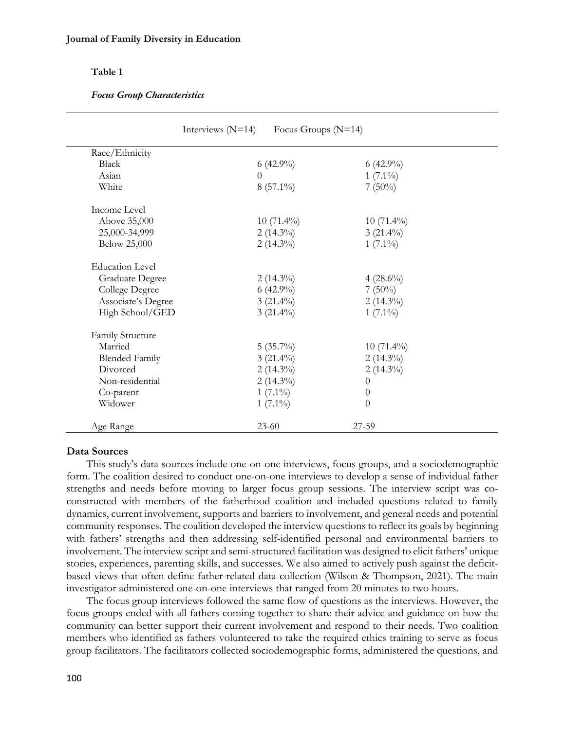# **Table 1**

#### *Focus Group Characteristics*

| Race/Ethnicity         |              |              |
|------------------------|--------------|--------------|
| Black                  | $6(42.9\%)$  | $6(42.9\%)$  |
| Asian                  | $\theta$     | $1(7.1\%)$   |
| White                  | $8(57.1\%)$  | $7(50\%)$    |
| Income Level           |              |              |
| Above 35,000           | $10(71.4\%)$ | $10(71.4\%)$ |
| 25,000-34,999          | $2(14.3\%)$  | $3(21.4\%)$  |
| Below 25,000           | $2(14.3\%)$  | $1(7.1\%)$   |
| <b>Education Level</b> |              |              |
| <b>Graduate Degree</b> | $2(14.3\%)$  | $4(28.6\%)$  |
| College Degree         | $6(42.9\%)$  | $7(50\%)$    |
| Associate's Degree     | $3(21.4\%)$  | $2(14.3\%)$  |
| High School/GED        | $3(21.4\%)$  | $1(7.1\%)$   |
| Family Structure       |              |              |
| Married                | $5(35.7\%)$  | $10(71.4\%)$ |
| <b>Blended Family</b>  | $3(21.4\%)$  | $2(14.3\%)$  |
| Divorced               | $2(14.3\%)$  | $2(14.3\%)$  |
| Non-residential        | $2(14.3\%)$  | $\theta$     |
| Co-parent              | $1(7.1\%)$   | $\theta$     |
| Widower                | $1(7.1\%)$   | $\theta$     |
| Age Range              | $23 - 60$    | 27-59        |

## **Data Sources**

This study's data sources include one-on-one interviews, focus groups, and a sociodemographic form. The coalition desired to conduct one-on-one interviews to develop a sense of individual father strengths and needs before moving to larger focus group sessions. The interview script was coconstructed with members of the fatherhood coalition and included questions related to family dynamics, current involvement, supports and barriers to involvement, and general needs and potential community responses. The coalition developed the interview questions to reflect its goals by beginning with fathers' strengths and then addressing self-identified personal and environmental barriers to involvement. The interview script and semi-structured facilitation was designed to elicit fathers' unique stories, experiences, parenting skills, and successes. We also aimed to actively push against the deficitbased views that often define father-related data collection (Wilson & Thompson, 2021). The main investigator administered one-on-one interviews that ranged from 20 minutes to two hours.

The focus group interviews followed the same flow of questions as the interviews. However, the focus groups ended with all fathers coming together to share their advice and guidance on how the community can better support their current involvement and respond to their needs. Two coalition members who identified as fathers volunteered to take the required ethics training to serve as focus group facilitators. The facilitators collected sociodemographic forms, administered the questions, and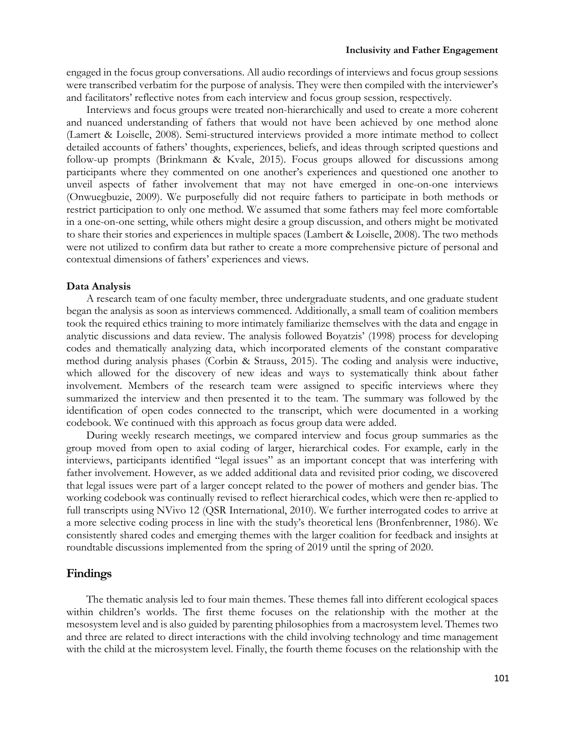engaged in the focus group conversations. All audio recordings of interviews and focus group sessions were transcribed verbatim for the purpose of analysis. They were then compiled with the interviewer's and facilitators' reflective notes from each interview and focus group session, respectively.

Interviews and focus groups were treated non-hierarchically and used to create a more coherent and nuanced understanding of fathers that would not have been achieved by one method alone (Lamert & Loiselle, 2008). Semi-structured interviews provided a more intimate method to collect detailed accounts of fathers' thoughts, experiences, beliefs, and ideas through scripted questions and follow-up prompts (Brinkmann & Kvale, 2015). Focus groups allowed for discussions among participants where they commented on one another's experiences and questioned one another to unveil aspects of father involvement that may not have emerged in one-on-one interviews (Onwuegbuzie, 2009). We purposefully did not require fathers to participate in both methods or restrict participation to only one method. We assumed that some fathers may feel more comfortable in a one-on-one setting, while others might desire a group discussion, and others might be motivated to share their stories and experiences in multiple spaces (Lambert & Loiselle, 2008). The two methods were not utilized to confirm data but rather to create a more comprehensive picture of personal and contextual dimensions of fathers' experiences and views.

#### **Data Analysis**

A research team of one faculty member, three undergraduate students, and one graduate student began the analysis as soon as interviews commenced. Additionally, a small team of coalition members took the required ethics training to more intimately familiarize themselves with the data and engage in analytic discussions and data review. The analysis followed Boyatzis' (1998) process for developing codes and thematically analyzing data, which incorporated elements of the constant comparative method during analysis phases (Corbin & Strauss, 2015). The coding and analysis were inductive, which allowed for the discovery of new ideas and ways to systematically think about father involvement. Members of the research team were assigned to specific interviews where they summarized the interview and then presented it to the team. The summary was followed by the identification of open codes connected to the transcript, which were documented in a working codebook. We continued with this approach as focus group data were added.

During weekly research meetings, we compared interview and focus group summaries as the group moved from open to axial coding of larger, hierarchical codes. For example, early in the interviews, participants identified "legal issues" as an important concept that was interfering with father involvement. However, as we added additional data and revisited prior coding, we discovered that legal issues were part of a larger concept related to the power of mothers and gender bias. The working codebook was continually revised to reflect hierarchical codes, which were then re-applied to full transcripts using NVivo 12 (QSR International, 2010). We further interrogated codes to arrive at a more selective coding process in line with the study's theoretical lens (Bronfenbrenner, 1986). We consistently shared codes and emerging themes with the larger coalition for feedback and insights at roundtable discussions implemented from the spring of 2019 until the spring of 2020.

# **Findings**

The thematic analysis led to four main themes. These themes fall into different ecological spaces within children's worlds. The first theme focuses on the relationship with the mother at the mesosystem level and is also guided by parenting philosophies from a macrosystem level. Themes two and three are related to direct interactions with the child involving technology and time management with the child at the microsystem level. Finally, the fourth theme focuses on the relationship with the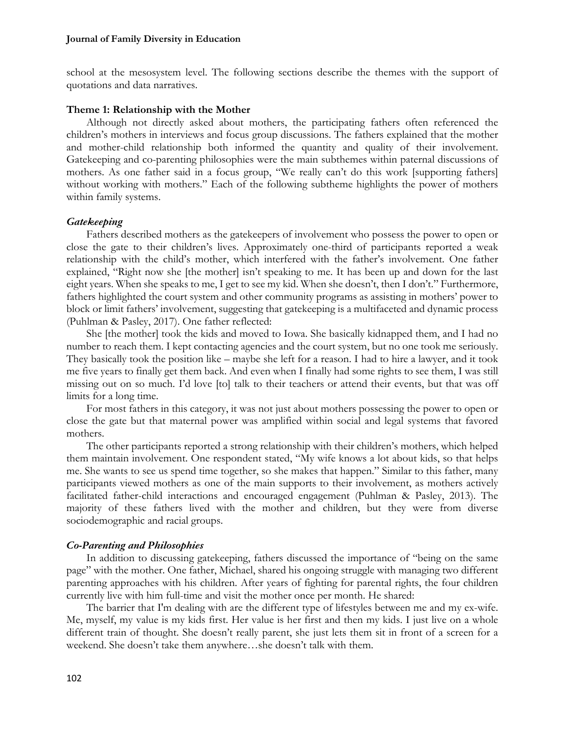school at the mesosystem level. The following sections describe the themes with the support of quotations and data narratives.

## **Theme 1: Relationship with the Mother**

Although not directly asked about mothers, the participating fathers often referenced the children's mothers in interviews and focus group discussions. The fathers explained that the mother and mother-child relationship both informed the quantity and quality of their involvement. Gatekeeping and co-parenting philosophies were the main subthemes within paternal discussions of mothers. As one father said in a focus group, "We really can't do this work [supporting fathers] without working with mothers." Each of the following subtheme highlights the power of mothers within family systems.

# *Gatekeeping*

Fathers described mothers as the gatekeepers of involvement who possess the power to open or close the gate to their children's lives. Approximately one-third of participants reported a weak relationship with the child's mother, which interfered with the father's involvement. One father explained, "Right now she [the mother] isn't speaking to me. It has been up and down for the last eight years. When she speaks to me, I get to see my kid. When she doesn't, then I don't." Furthermore, fathers highlighted the court system and other community programs as assisting in mothers' power to block or limit fathers' involvement, suggesting that gatekeeping is a multifaceted and dynamic process (Puhlman & Pasley, 2017). One father reflected:

She [the mother] took the kids and moved to Iowa. She basically kidnapped them, and I had no number to reach them. I kept contacting agencies and the court system, but no one took me seriously. They basically took the position like – maybe she left for a reason. I had to hire a lawyer, and it took me five years to finally get them back. And even when I finally had some rights to see them, I was still missing out on so much. I'd love [to] talk to their teachers or attend their events, but that was off limits for a long time.

For most fathers in this category, it was not just about mothers possessing the power to open or close the gate but that maternal power was amplified within social and legal systems that favored mothers.

The other participants reported a strong relationship with their children's mothers, which helped them maintain involvement. One respondent stated, "My wife knows a lot about kids, so that helps me. She wants to see us spend time together, so she makes that happen." Similar to this father, many participants viewed mothers as one of the main supports to their involvement, as mothers actively facilitated father-child interactions and encouraged engagement (Puhlman & Pasley, 2013). The majority of these fathers lived with the mother and children, but they were from diverse sociodemographic and racial groups.

# *Co-Parenting and Philosophies*

In addition to discussing gatekeeping, fathers discussed the importance of "being on the same page" with the mother. One father, Michael, shared his ongoing struggle with managing two different parenting approaches with his children. After years of fighting for parental rights, the four children currently live with him full-time and visit the mother once per month. He shared:

The barrier that I'm dealing with are the different type of lifestyles between me and my ex-wife. Me, myself, my value is my kids first. Her value is her first and then my kids. I just live on a whole different train of thought. She doesn't really parent, she just lets them sit in front of a screen for a weekend. She doesn't take them anywhere…she doesn't talk with them.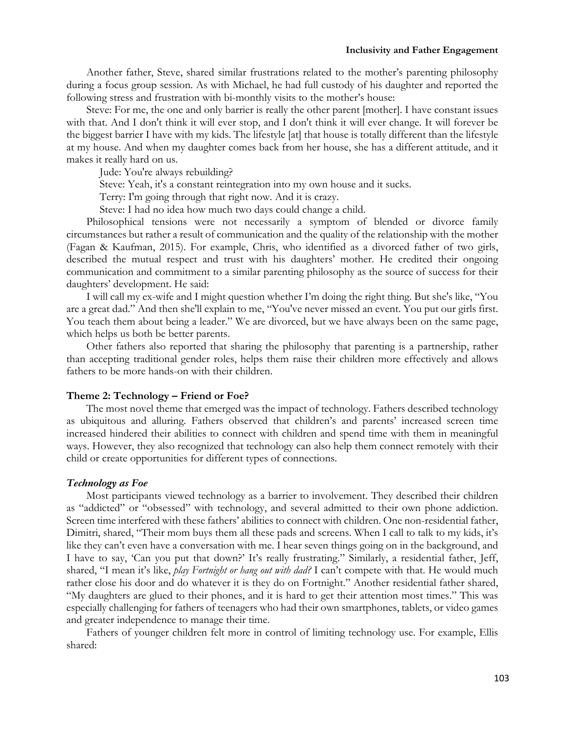Another father, Steve, shared similar frustrations related to the mother's parenting philosophy during a focus group session. As with Michael, he had full custody of his daughter and reported the following stress and frustration with bi-monthly visits to the mother's house:

Steve: For me, the one and only barrier is really the other parent [mother]. I have constant issues with that. And I don't think it will ever stop, and I don't think it will ever change. It will forever be the biggest barrier I have with my kids. The lifestyle [at] that house is totally different than the lifestyle at my house. And when my daughter comes back from her house, she has a different attitude, and it makes it really hard on us.

Jude: You're always rebuilding?

Steve: Yeah, it's a constant reintegration into my own house and it sucks.

Terry: I'm going through that right now. And it is crazy.

Steve: I had no idea how much two days could change a child.

Philosophical tensions were not necessarily a symptom of blended or divorce family circumstances but rather a result of communication and the quality of the relationship with the mother (Fagan & Kaufman, 2015). For example, Chris, who identified as a divorced father of two girls, described the mutual respect and trust with his daughters' mother. He credited their ongoing communication and commitment to a similar parenting philosophy as the source of success for their daughters' development. He said:

I will call my ex-wife and I might question whether I'm doing the right thing. But she's like, "You are a great dad." And then she'll explain to me, "You've never missed an event. You put our girls first. You teach them about being a leader." We are divorced, but we have always been on the same page, which helps us both be better parents.

Other fathers also reported that sharing the philosophy that parenting is a partnership, rather than accepting traditional gender roles, helps them raise their children more effectively and allows fathers to be more hands-on with their children.

#### **Theme 2: Technology – Friend or Foe?**

The most novel theme that emerged was the impact of technology. Fathers described technology as ubiquitous and alluring. Fathers observed that children's and parents' increased screen time increased hindered their abilities to connect with children and spend time with them in meaningful ways. However, they also recognized that technology can also help them connect remotely with their child or create opportunities for different types of connections.

#### *Technology as Foe*

Most participants viewed technology as a barrier to involvement. They described their children as "addicted" or "obsessed" with technology, and several admitted to their own phone addiction. Screen time interfered with these fathers' abilities to connect with children. One non-residential father, Dimitri, shared, "Their mom buys them all these pads and screens. When I call to talk to my kids, it's like they can't even have a conversation with me. I hear seven things going on in the background, and I have to say, 'Can you put that down?' It's really frustrating." Similarly, a residential father, Jeff, shared, "I mean it's like, *play Fortnight or hang out with dad?* I can't compete with that. He would much rather close his door and do whatever it is they do on Fortnight." Another residential father shared, "My daughters are glued to their phones, and it is hard to get their attention most times." This was especially challenging for fathers of teenagers who had their own smartphones, tablets, or video games and greater independence to manage their time.

Fathers of younger children felt more in control of limiting technology use. For example, Ellis shared: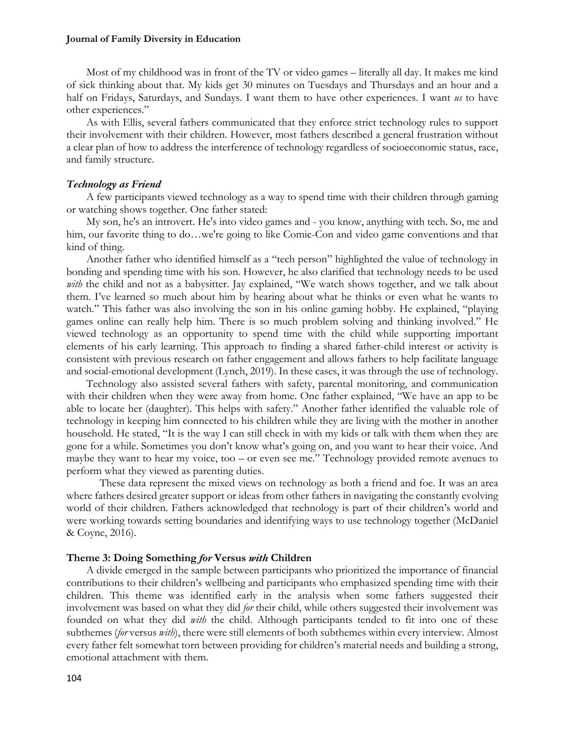Most of my childhood was in front of the TV or video games – literally all day. It makes me kind of sick thinking about that. My kids get 30 minutes on Tuesdays and Thursdays and an hour and a half on Fridays, Saturdays, and Sundays. I want them to have other experiences. I want *us* to have other experiences."

As with Ellis, several fathers communicated that they enforce strict technology rules to support their involvement with their children. However, most fathers described a general frustration without a clear plan of how to address the interference of technology regardless of socioeconomic status, race, and family structure.

## *Technology as Friend*

A few participants viewed technology as a way to spend time with their children through gaming or watching shows together. One father stated:

My son, he's an introvert. He's into video games and - you know, anything with tech. So, me and him, our favorite thing to do...we're going to like Comic-Con and video game conventions and that kind of thing.

Another father who identified himself as a "tech person" highlighted the value of technology in bonding and spending time with his son. However, he also clarified that technology needs to be used with the child and not as a babysitter. Jay explained, "We watch shows together, and we talk about them. I've learned so much about him by hearing about what he thinks or even what he wants to watch." This father was also involving the son in his online gaming hobby. He explained, "playing games online can really help him. There is so much problem solving and thinking involved." He viewed technology as an opportunity to spend time with the child while supporting important elements of his early learning. This approach to finding a shared father-child interest or activity is consistent with previous research on father engagement and allows fathers to help facilitate language and social-emotional development (Lynch, 2019). In these cases, it was through the use of technology.

Technology also assisted several fathers with safety, parental monitoring, and communication with their children when they were away from home. One father explained, "We have an app to be able to locate her (daughter). This helps with safety." Another father identified the valuable role of technology in keeping him connected to his children while they are living with the mother in another household. He stated, "It is the way I can still check in with my kids or talk with them when they are gone for a while. Sometimes you don't know what's going on, and you want to hear their voice. And maybe they want to hear my voice, too – or even see me." Technology provided remote avenues to perform what they viewed as parenting duties.

These data represent the mixed views on technology as both a friend and foe. It was an area where fathers desired greater support or ideas from other fathers in navigating the constantly evolving world of their children. Fathers acknowledged that technology is part of their children's world and were working towards setting boundaries and identifying ways to use technology together (McDaniel & Coyne, 2016).

#### **Theme 3: Doing Something** *for* **Versus** *with* **Children**

A divide emerged in the sample between participants who prioritized the importance of financial contributions to their children's wellbeing and participants who emphasized spending time with their children. This theme was identified early in the analysis when some fathers suggested their involvement was based on what they did *for* their child, while others suggested their involvement was founded on what they did *with* the child. Although participants tended to fit into one of these subthemes (*for* versus *with*), there were still elements of both subthemes within every interview. Almost every father felt somewhat torn between providing for children's material needs and building a strong, emotional attachment with them.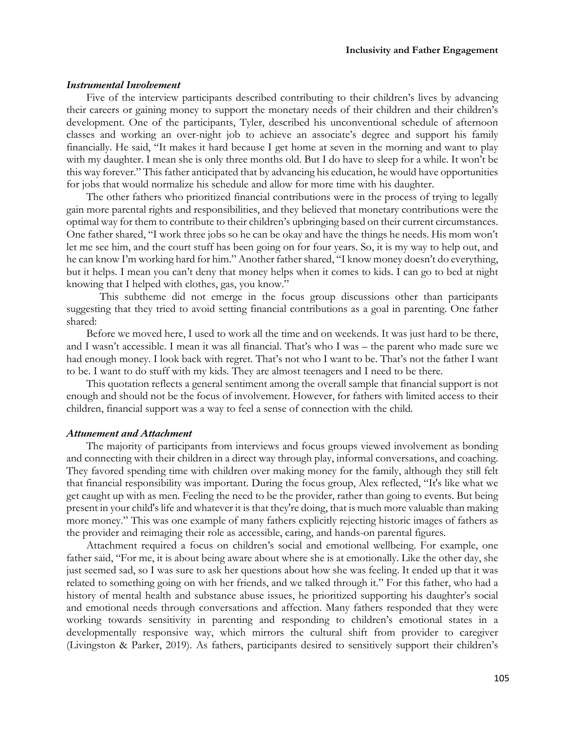## *Instrumental Involvement*

Five of the interview participants described contributing to their children's lives by advancing their careers or gaining money to support the monetary needs of their children and their children's development. One of the participants, Tyler, described his unconventional schedule of afternoon classes and working an over-night job to achieve an associate's degree and support his family financially. He said, "It makes it hard because I get home at seven in the morning and want to play with my daughter. I mean she is only three months old. But I do have to sleep for a while. It won't be this way forever." This father anticipated that by advancing his education, he would have opportunities for jobs that would normalize his schedule and allow for more time with his daughter.

The other fathers who prioritized financial contributions were in the process of trying to legally gain more parental rights and responsibilities, and they believed that monetary contributions were the optimal way for them to contribute to their children's upbringing based on their current circumstances. One father shared, "I work three jobs so he can be okay and have the things he needs. His mom won't let me see him, and the court stuff has been going on for four years. So, it is my way to help out, and he can know I'm working hard for him." Another father shared, "I know money doesn't do everything, but it helps. I mean you can't deny that money helps when it comes to kids. I can go to bed at night knowing that I helped with clothes, gas, you know."

This subtheme did not emerge in the focus group discussions other than participants suggesting that they tried to avoid setting financial contributions as a goal in parenting. One father shared:

Before we moved here, I used to work all the time and on weekends. It was just hard to be there, and I wasn't accessible. I mean it was all financial. That's who I was – the parent who made sure we had enough money. I look back with regret. That's not who I want to be. That's not the father I want to be. I want to do stuff with my kids. They are almost teenagers and I need to be there.

This quotation reflects a general sentiment among the overall sample that financial support is not enough and should not be the focus of involvement. However, for fathers with limited access to their children, financial support was a way to feel a sense of connection with the child.

#### *Attunement and Attachment*

The majority of participants from interviews and focus groups viewed involvement as bonding and connecting with their children in a direct way through play, informal conversations, and coaching. They favored spending time with children over making money for the family, although they still felt that financial responsibility was important. During the focus group, Alex reflected, "It's like what we get caught up with as men. Feeling the need to be the provider, rather than going to events. But being present in your child's life and whatever it is that they're doing, that is much more valuable than making more money." This was one example of many fathers explicitly rejecting historic images of fathers as the provider and reimaging their role as accessible, caring, and hands-on parental figures.

Attachment required a focus on children's social and emotional wellbeing. For example, one father said, "For me, it is about being aware about where she is at emotionally. Like the other day, she just seemed sad, so I was sure to ask her questions about how she was feeling. It ended up that it was related to something going on with her friends, and we talked through it." For this father, who had a history of mental health and substance abuse issues, he prioritized supporting his daughter's social and emotional needs through conversations and affection. Many fathers responded that they were working towards sensitivity in parenting and responding to children's emotional states in a developmentally responsive way, which mirrors the cultural shift from provider to caregiver (Livingston & Parker, 2019). As fathers, participants desired to sensitively support their children's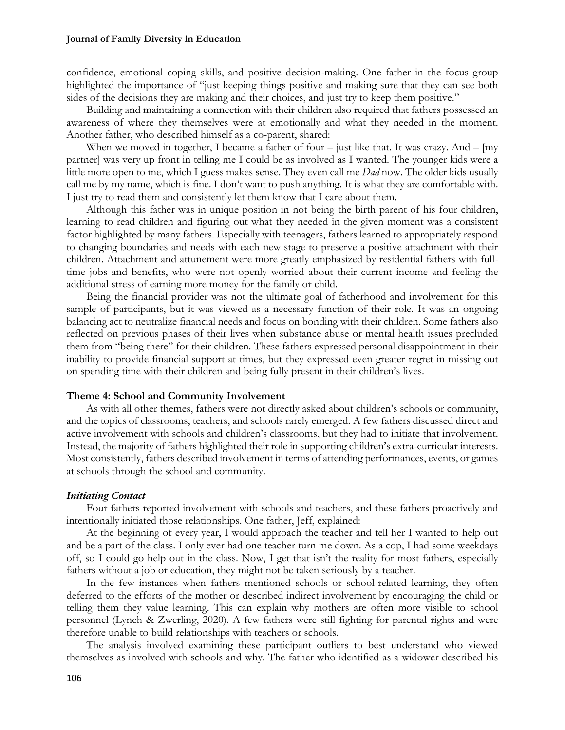confidence, emotional coping skills, and positive decision-making. One father in the focus group highlighted the importance of "just keeping things positive and making sure that they can see both sides of the decisions they are making and their choices, and just try to keep them positive."

Building and maintaining a connection with their children also required that fathers possessed an awareness of where they themselves were at emotionally and what they needed in the moment. Another father, who described himself as a co-parent, shared:

When we moved in together, I became a father of four – just like that. It was crazy. And – [my partner] was very up front in telling me I could be as involved as I wanted. The younger kids were a little more open to me, which I guess makes sense. They even call me *Dad* now. The older kids usually call me by my name, which is fine. I don't want to push anything. It is what they are comfortable with. I just try to read them and consistently let them know that I care about them.

Although this father was in unique position in not being the birth parent of his four children, learning to read children and figuring out what they needed in the given moment was a consistent factor highlighted by many fathers. Especially with teenagers, fathers learned to appropriately respond to changing boundaries and needs with each new stage to preserve a positive attachment with their children. Attachment and attunement were more greatly emphasized by residential fathers with fulltime jobs and benefits, who were not openly worried about their current income and feeling the additional stress of earning more money for the family or child.

Being the financial provider was not the ultimate goal of fatherhood and involvement for this sample of participants, but it was viewed as a necessary function of their role. It was an ongoing balancing act to neutralize financial needs and focus on bonding with their children. Some fathers also reflected on previous phases of their lives when substance abuse or mental health issues precluded them from "being there" for their children. These fathers expressed personal disappointment in their inability to provide financial support at times, but they expressed even greater regret in missing out on spending time with their children and being fully present in their children's lives.

#### **Theme 4: School and Community Involvement**

As with all other themes, fathers were not directly asked about children's schools or community, and the topics of classrooms, teachers, and schools rarely emerged. A few fathers discussed direct and active involvement with schools and children's classrooms, but they had to initiate that involvement. Instead, the majority of fathers highlighted their role in supporting children's extra-curricular interests. Most consistently, fathers described involvement in terms of attending performances, events, or games at schools through the school and community.

#### *Initiating Contact*

Four fathers reported involvement with schools and teachers, and these fathers proactively and intentionally initiated those relationships. One father, Jeff, explained:

At the beginning of every year, I would approach the teacher and tell her I wanted to help out and be a part of the class. I only ever had one teacher turn me down. As a cop, I had some weekdays off, so I could go help out in the class. Now, I get that isn't the reality for most fathers, especially fathers without a job or education, they might not be taken seriously by a teacher.

In the few instances when fathers mentioned schools or school-related learning, they often deferred to the efforts of the mother or described indirect involvement by encouraging the child or telling them they value learning. This can explain why mothers are often more visible to school personnel (Lynch & Zwerling, 2020). A few fathers were still fighting for parental rights and were therefore unable to build relationships with teachers or schools.

The analysis involved examining these participant outliers to best understand who viewed themselves as involved with schools and why. The father who identified as a widower described his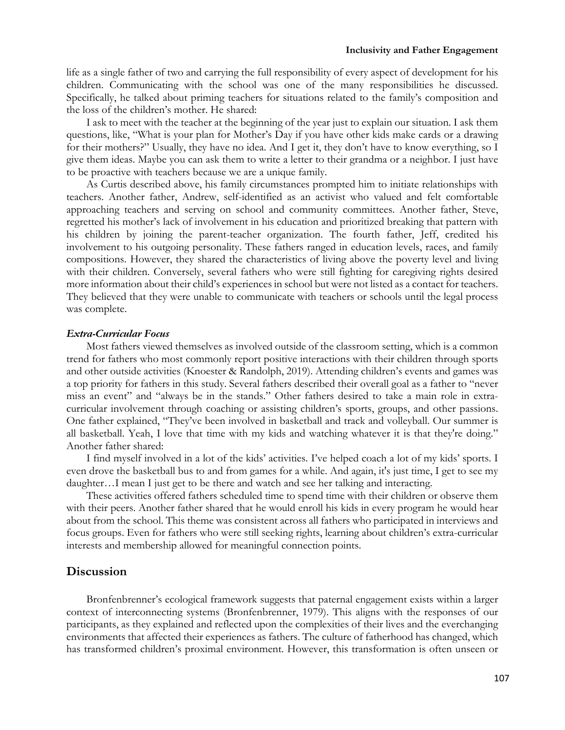#### **Inclusivity and Father Engagement**

life as a single father of two and carrying the full responsibility of every aspect of development for his children. Communicating with the school was one of the many responsibilities he discussed. Specifically, he talked about priming teachers for situations related to the family's composition and the loss of the children's mother. He shared:

I ask to meet with the teacher at the beginning of the year just to explain our situation. I ask them questions, like, "What is your plan for Mother's Day if you have other kids make cards or a drawing for their mothers?" Usually, they have no idea. And I get it, they don't have to know everything, so I give them ideas. Maybe you can ask them to write a letter to their grandma or a neighbor. I just have to be proactive with teachers because we are a unique family.

As Curtis described above, his family circumstances prompted him to initiate relationships with teachers. Another father, Andrew, self-identified as an activist who valued and felt comfortable approaching teachers and serving on school and community committees. Another father, Steve, regretted his mother's lack of involvement in his education and prioritized breaking that pattern with his children by joining the parent-teacher organization. The fourth father, Jeff, credited his involvement to his outgoing personality. These fathers ranged in education levels, races, and family compositions. However, they shared the characteristics of living above the poverty level and living with their children. Conversely, several fathers who were still fighting for caregiving rights desired more information about their child's experiences in school but were not listed as a contact for teachers. They believed that they were unable to communicate with teachers or schools until the legal process was complete.

## *Extra-Curricular Focus*

Most fathers viewed themselves as involved outside of the classroom setting, which is a common trend for fathers who most commonly report positive interactions with their children through sports and other outside activities (Knoester & Randolph, 2019). Attending children's events and games was a top priority for fathers in this study. Several fathers described their overall goal as a father to "never miss an event" and "always be in the stands." Other fathers desired to take a main role in extracurricular involvement through coaching or assisting children's sports, groups, and other passions. One father explained, "They've been involved in basketball and track and volleyball. Our summer is all basketball. Yeah, I love that time with my kids and watching whatever it is that they're doing." Another father shared:

I find myself involved in a lot of the kids' activities. I've helped coach a lot of my kids' sports. I even drove the basketball bus to and from games for a while. And again, it's just time, I get to see my daughter…I mean I just get to be there and watch and see her talking and interacting.

These activities offered fathers scheduled time to spend time with their children or observe them with their peers. Another father shared that he would enroll his kids in every program he would hear about from the school. This theme was consistent across all fathers who participated in interviews and focus groups. Even for fathers who were still seeking rights, learning about children's extra-curricular interests and membership allowed for meaningful connection points.

## **Discussion**

Bronfenbrenner's ecological framework suggests that paternal engagement exists within a larger context of interconnecting systems (Bronfenbrenner, 1979). This aligns with the responses of our participants, as they explained and reflected upon the complexities of their lives and the everchanging environments that affected their experiences as fathers. The culture of fatherhood has changed, which has transformed children's proximal environment. However, this transformation is often unseen or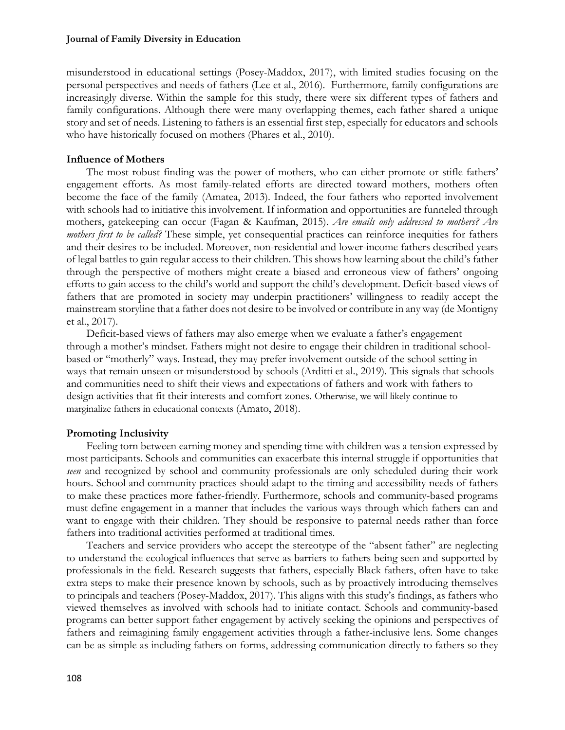misunderstood in educational settings (Posey-Maddox, 2017), with limited studies focusing on the personal perspectives and needs of fathers (Lee et al., 2016). Furthermore, family configurations are increasingly diverse. Within the sample for this study, there were six different types of fathers and family configurations. Although there were many overlapping themes, each father shared a unique story and set of needs. Listening to fathers is an essential first step, especially for educators and schools who have historically focused on mothers (Phares et al., 2010).

## **Influence of Mothers**

The most robust finding was the power of mothers, who can either promote or stifle fathers' engagement efforts. As most family-related efforts are directed toward mothers, mothers often become the face of the family (Amatea, 2013). Indeed, the four fathers who reported involvement with schools had to initiative this involvement. If information and opportunities are funneled through mothers, gatekeeping can occur (Fagan & Kaufman, 2015). *Are emails only addressed to mothers? Are mothers first to be called?* These simple, yet consequential practices can reinforce inequities for fathers and their desires to be included. Moreover, non-residential and lower-income fathers described years of legal battles to gain regular access to their children. This shows how learning about the child's father through the perspective of mothers might create a biased and erroneous view of fathers' ongoing efforts to gain access to the child's world and support the child's development. Deficit-based views of fathers that are promoted in society may underpin practitioners' willingness to readily accept the mainstream storyline that a father does not desire to be involved or contribute in any way (de Montigny et al., 2017).

Deficit-based views of fathers may also emerge when we evaluate a father's engagement through a mother's mindset. Fathers might not desire to engage their children in traditional schoolbased or "motherly" ways. Instead, they may prefer involvement outside of the school setting in ways that remain unseen or misunderstood by schools (Arditti et al., 2019). This signals that schools and communities need to shift their views and expectations of fathers and work with fathers to design activities that fit their interests and comfort zones. Otherwise, we will likely continue to marginalize fathers in educational contexts (Amato, 2018).

## **Promoting Inclusivity**

Feeling torn between earning money and spending time with children was a tension expressed by most participants. Schools and communities can exacerbate this internal struggle if opportunities that *seen* and recognized by school and community professionals are only scheduled during their work hours. School and community practices should adapt to the timing and accessibility needs of fathers to make these practices more father-friendly. Furthermore, schools and community-based programs must define engagement in a manner that includes the various ways through which fathers can and want to engage with their children. They should be responsive to paternal needs rather than force fathers into traditional activities performed at traditional times.

Teachers and service providers who accept the stereotype of the "absent father" are neglecting to understand the ecological influences that serve as barriers to fathers being seen and supported by professionals in the field. Research suggests that fathers, especially Black fathers, often have to take extra steps to make their presence known by schools, such as by proactively introducing themselves to principals and teachers (Posey-Maddox, 2017). This aligns with this study's findings, as fathers who viewed themselves as involved with schools had to initiate contact. Schools and community-based programs can better support father engagement by actively seeking the opinions and perspectives of fathers and reimagining family engagement activities through a father-inclusive lens. Some changes can be as simple as including fathers on forms, addressing communication directly to fathers so they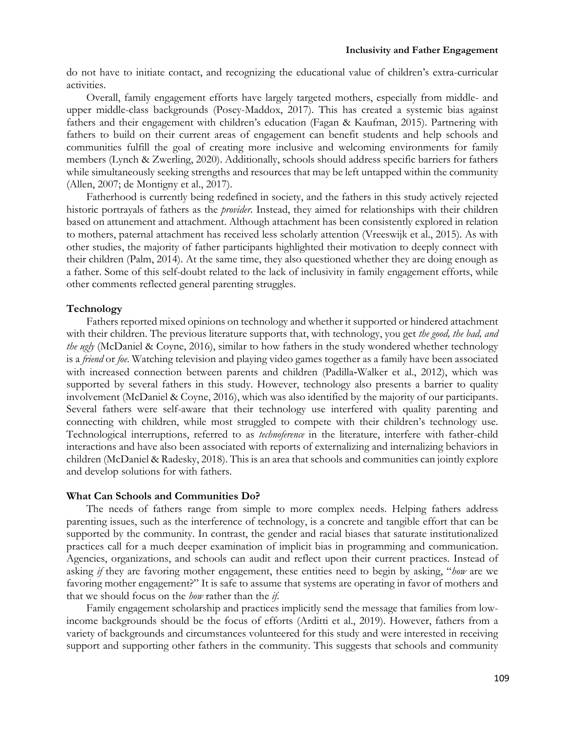do not have to initiate contact, and recognizing the educational value of children's extra-curricular activities.

Overall, family engagement efforts have largely targeted mothers, especially from middle- and upper middle-class backgrounds (Posey-Maddox, 2017). This has created a systemic bias against fathers and their engagement with children's education (Fagan & Kaufman, 2015). Partnering with fathers to build on their current areas of engagement can benefit students and help schools and communities fulfill the goal of creating more inclusive and welcoming environments for family members (Lynch & Zwerling, 2020). Additionally, schools should address specific barriers for fathers while simultaneously seeking strengths and resources that may be left untapped within the community (Allen, 2007; de Montigny et al., 2017).

Fatherhood is currently being redefined in society, and the fathers in this study actively rejected historic portrayals of fathers as the *provider*. Instead, they aimed for relationships with their children based on attunement and attachment. Although attachment has been consistently explored in relation to mothers, paternal attachment has received less scholarly attention (Vreeswijk et al., 2015). As with other studies, the majority of father participants highlighted their motivation to deeply connect with their children (Palm, 2014). At the same time, they also questioned whether they are doing enough as a father. Some of this self-doubt related to the lack of inclusivity in family engagement efforts, while other comments reflected general parenting struggles.

## **Technology**

Fathers reported mixed opinions on technology and whether it supported or hindered attachment with their children. The previous literature supports that, with technology, you get *the good, the bad, and the ugly* (McDaniel & Coyne, 2016), similar to how fathers in the study wondered whether technology is a *friend* or *foe*. Watching television and playing video games together as a family have been associated with increased connection between parents and children (Padilla-Walker et al., 2012), which was supported by several fathers in this study. However, technology also presents a barrier to quality involvement (McDaniel & Coyne, 2016), which was also identified by the majority of our participants. Several fathers were self-aware that their technology use interfered with quality parenting and connecting with children, while most struggled to compete with their children's technology use. Technological interruptions, referred to as *technoference* in the literature, interfere with father-child interactions and have also been associated with reports of externalizing and internalizing behaviors in children (McDaniel & Radesky, 2018). This is an area that schools and communities can jointly explore and develop solutions for with fathers.

# **What Can Schools and Communities Do?**

The needs of fathers range from simple to more complex needs. Helping fathers address parenting issues, such as the interference of technology, is a concrete and tangible effort that can be supported by the community. In contrast, the gender and racial biases that saturate institutionalized practices call for a much deeper examination of implicit bias in programming and communication. Agencies, organizations, and schools can audit and reflect upon their current practices. Instead of asking *if* they are favoring mother engagement, these entities need to begin by asking, "*how* are we favoring mother engagement?" It is safe to assume that systems are operating in favor of mothers and that we should focus on the *how* rather than the *if*.

Family engagement scholarship and practices implicitly send the message that families from lowincome backgrounds should be the focus of efforts (Arditti et al., 2019). However, fathers from a variety of backgrounds and circumstances volunteered for this study and were interested in receiving support and supporting other fathers in the community. This suggests that schools and community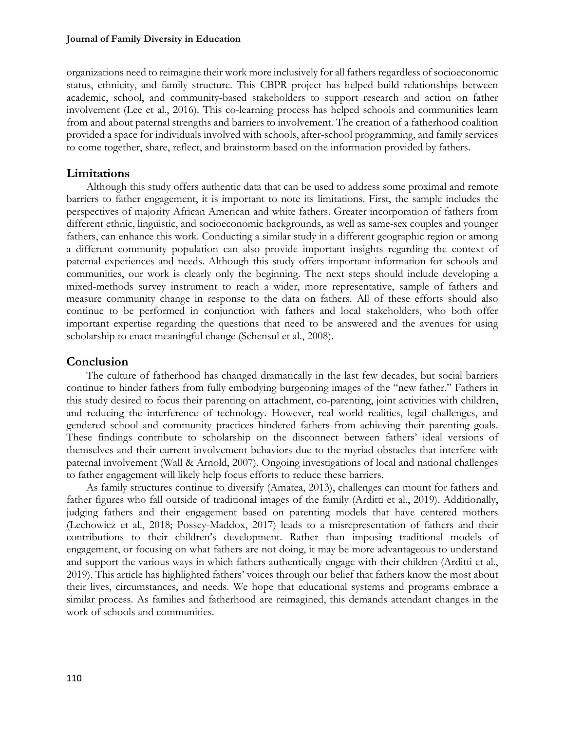organizations need to reimagine their work more inclusively for all fathers regardless of socioeconomic status, ethnicity, and family structure. This CBPR project has helped build relationships between academic, school, and community-based stakeholders to support research and action on father involvement (Lee et al., 2016). This co-learning process has helped schools and communities learn from and about paternal strengths and barriers to involvement. The creation of a fatherhood coalition provided a space for individuals involved with schools, after-school programming, and family services to come together, share, reflect, and brainstorm based on the information provided by fathers.

# **Limitations**

Although this study offers authentic data that can be used to address some proximal and remote barriers to father engagement, it is important to note its limitations. First, the sample includes the perspectives of majority African American and white fathers. Greater incorporation of fathers from different ethnic, linguistic, and socioeconomic backgrounds, as well as same-sex couples and younger fathers, can enhance this work. Conducting a similar study in a different geographic region or among a different community population can also provide important insights regarding the context of paternal experiences and needs. Although this study offers important information for schools and communities, our work is clearly only the beginning. The next steps should include developing a mixed-methods survey instrument to reach a wider, more representative, sample of fathers and measure community change in response to the data on fathers. All of these efforts should also continue to be performed in conjunction with fathers and local stakeholders, who both offer important expertise regarding the questions that need to be answered and the avenues for using scholarship to enact meaningful change (Schensul et al., 2008).

# **Conclusion**

The culture of fatherhood has changed dramatically in the last few decades, but social barriers continue to hinder fathers from fully embodying burgeoning images of the "new father." Fathers in this study desired to focus their parenting on attachment, co-parenting, joint activities with children, and reducing the interference of technology. However, real world realities, legal challenges, and gendered school and community practices hindered fathers from achieving their parenting goals. These findings contribute to scholarship on the disconnect between fathers' ideal versions of themselves and their current involvement behaviors due to the myriad obstacles that interfere with paternal involvement (Wall & Arnold, 2007). Ongoing investigations of local and national challenges to father engagement will likely help focus efforts to reduce these barriers.

As family structures continue to diversify (Amatea, 2013), challenges can mount for fathers and father figures who fall outside of traditional images of the family (Arditti et al., 2019). Additionally, judging fathers and their engagement based on parenting models that have centered mothers (Lechowicz et al., 2018; Possey-Maddox, 2017) leads to a misrepresentation of fathers and their contributions to their children's development. Rather than imposing traditional models of engagement, or focusing on what fathers are not doing, it may be more advantageous to understand and support the various ways in which fathers authentically engage with their children (Arditti et al., 2019). This article has highlighted fathers' voices through our belief that fathers know the most about their lives, circumstances, and needs. We hope that educational systems and programs embrace a similar process. As families and fatherhood are reimagined, this demands attendant changes in the work of schools and communities.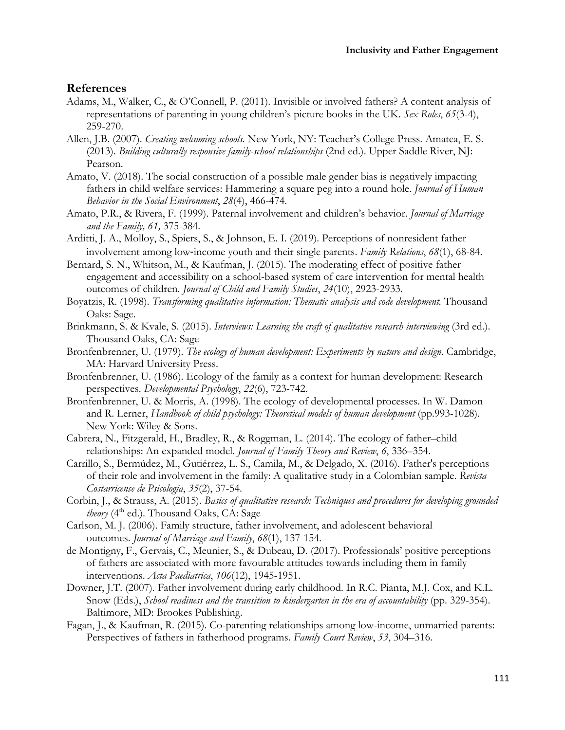# **References**

- Adams, M., Walker, C., & O'Connell, P. (2011). Invisible or involved fathers? A content analysis of representations of parenting in young children's picture books in the UK. *Sex Roles*, *65*(3-4), 259-270.
- Allen, J.B. (2007). *Creating welcoming schools.* New York, NY: Teacher's College Press. Amatea, E. S. (2013). *Building culturally responsive family-school relationships* (2nd ed.). Upper Saddle River, NJ: Pearson.
- Amato, V. (2018). The social construction of a possible male gender bias is negatively impacting fathers in child welfare services: Hammering a square peg into a round hole. *Journal of Human Behavior in the Social Environment*, *28*(4), 466-474.
- Amato, P.R., & Rivera, F. (1999). Paternal involvement and children's behavior. *Journal of Marriage and the Family, 61,* 375-384.
- Arditti, J. A., Molloy, S., Spiers, S., & Johnson, E. I. (2019). Perceptions of nonresident father involvement among low-income youth and their single parents. *Family Relations*, *68*(1), 68-84.
- Bernard, S. N., Whitson, M., & Kaufman, J. (2015). The moderating effect of positive father engagement and accessibility on a school-based system of care intervention for mental health outcomes of children. *Journal of Child and Family Studies*, *24*(10), 2923-2933.
- Boyatzis, R. (1998). *Transforming qualitative information: Thematic analysis and code development.* Thousand Oaks: Sage.
- Brinkmann, S. & Kvale, S. (2015). *Interviews: Learning the craft of qualitative research interviewing* (3rd ed.). Thousand Oaks, CA: Sage
- Bronfenbrenner, U. (1979). *The ecology of human development: Experiments by nature and design*. Cambridge, MA: Harvard University Press.
- Bronfenbrenner, U. (1986). Ecology of the family as a context for human development: Research perspectives. *Developmental Psychology*, *22*(6), 723-742.
- Bronfenbrenner, U. & Morris, A. (1998). The ecology of developmental processes. In W. Damon and R. Lerner, *Handbook of child psychology: Theoretical models of human development* (pp.993-1028)*.* New York: Wiley & Sons.
- Cabrera, N., Fitzgerald, H., Bradley, R., & Roggman, L. (2014). The ecology of father–child relationships: An expanded model. *Journal of Family Theory and Review*, *6*, 336–354.
- Carrillo, S., Bermúdez, M., Gutiérrez, L. S., Camila, M., & Delgado, X. (2016). Father's perceptions of their role and involvement in the family: A qualitative study in a Colombian sample. *Revista Costarricense de Psicología*, *35*(2), 37-54.
- Corbin, J., & Strauss, A. (2015). *Basics of qualitative research: Techniques and procedures for developing grounded theory* (4<sup>th</sup> ed.). Thousand Oaks, CA: Sage
- Carlson, M. J. (2006). Family structure, father involvement, and adolescent behavioral outcomes. *Journal of Marriage and Family*, *68*(1), 137-154.
- de Montigny, F., Gervais, C., Meunier, S., & Dubeau, D. (2017). Professionals' positive perceptions of fathers are associated with more favourable attitudes towards including them in family interventions. *Acta Paediatrica*, *106*(12), 1945-1951.
- Downer, J.T. (2007). Father involvement during early childhood. In R.C. Pianta, M.J. Cox, and K.L. Snow (Eds.), *School readiness and the transition to kindergarten in the era of accountability* (pp. 329-354). Baltimore, MD: Brookes Publishing.
- Fagan, J., & Kaufman, R. (2015). Co-parenting relationships among low-income, unmarried parents: Perspectives of fathers in fatherhood programs. *Family Court Review*, *53*, 304–316.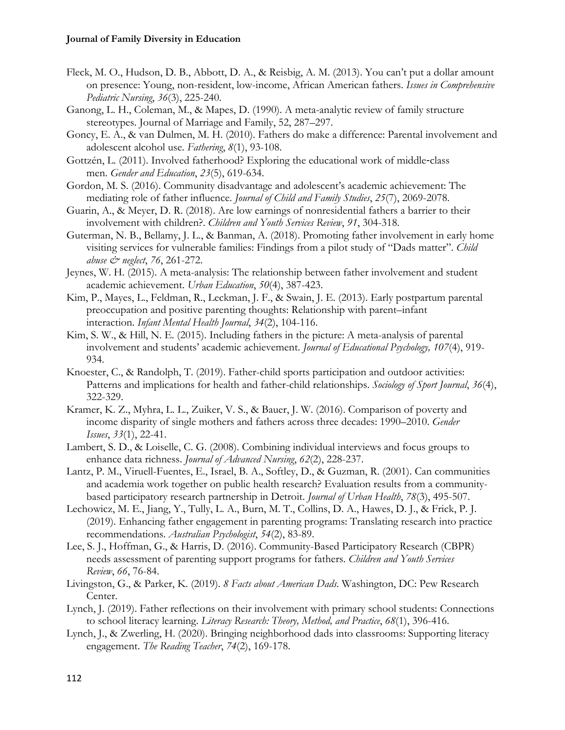- Fleck, M. O., Hudson, D. B., Abbott, D. A., & Reisbig, A. M. (2013). You can't put a dollar amount on presence: Young, non-resident, low-income, African American fathers. *Issues in Comprehensive Pediatric Nursing*, *36*(3), 225-240.
- Ganong, L. H., Coleman, M., & Mapes, D. (1990). A meta-analytic review of family structure stereotypes. Journal of Marriage and Family, 52, 287–297.
- Goncy, E. A., & van Dulmen, M. H. (2010). Fathers do make a difference: Parental involvement and adolescent alcohol use. *Fathering*, *8*(1), 93-108.
- Gottzén, L. (2011). Involved fatherhood? Exploring the educational work of middle-class men. *Gender and Education*, *23*(5), 619-634.
- Gordon, M. S. (2016). Community disadvantage and adolescent's academic achievement: The mediating role of father influence. *Journal of Child and Family Studies*, *25*(7), 2069-2078.
- Guarin, A., & Meyer, D. R. (2018). Are low earnings of nonresidential fathers a barrier to their involvement with children?. *Children and Youth Services Review*, *91*, 304-318.
- Guterman, N. B., Bellamy, J. L., & Banman, A. (2018). Promoting father involvement in early home visiting services for vulnerable families: Findings from a pilot study of "Dads matter". *Child abuse & neglect*, *76*, 261-272.
- Jeynes, W. H. (2015). A meta-analysis: The relationship between father involvement and student academic achievement. *Urban Education*, *50*(4), 387-423.
- Kim, P., Mayes, L., Feldman, R., Leckman, J. F., & Swain, J. E. (2013). Early postpartum parental preoccupation and positive parenting thoughts: Relationship with parent–infant interaction. *Infant Mental Health Journal*, *34*(2), 104-116.
- Kim, S. W., & Hill, N. E. (2015). Including fathers in the picture: A meta-analysis of parental involvement and students' academic achievement. *Journal of Educational Psychology, 107*(4), 919- 934.
- Knoester, C., & Randolph, T. (2019). Father-child sports participation and outdoor activities: Patterns and implications for health and father-child relationships. *Sociology of Sport Journal*, *36*(4), 322-329.
- Kramer, K. Z., Myhra, L. L., Zuiker, V. S., & Bauer, J. W. (2016). Comparison of poverty and income disparity of single mothers and fathers across three decades: 1990–2010. *Gender Issues*, *33*(1), 22-41.
- Lambert, S. D., & Loiselle, C. G. (2008). Combining individual interviews and focus groups to enhance data richness. *Journal of Advanced Nursing*, *62*(2), 228-237.
- Lantz, P. M., Viruell-Fuentes, E., Israel, B. A., Softley, D., & Guzman, R. (2001). Can communities and academia work together on public health research? Evaluation results from a communitybased participatory research partnership in Detroit. *Journal of Urban Health*, *78*(3), 495-507.
- Lechowicz, M. E., Jiang, Y., Tully, L. A., Burn, M. T., Collins, D. A., Hawes, D. J., & Frick, P. J. (2019). Enhancing father engagement in parenting programs: Translating research into practice recommendations. *Australian Psychologist*, *54*(2), 83-89.
- Lee, S. J., Hoffman, G., & Harris, D. (2016). Community-Based Participatory Research (CBPR) needs assessment of parenting support programs for fathers. *Children and Youth Services Review*, *66*, 76-84.
- Livingston, G., & Parker, K. (2019). *8 Facts about American Dads.* Washington, DC: Pew Research Center.
- Lynch, J. (2019). Father reflections on their involvement with primary school students: Connections to school literacy learning. *Literacy Research: Theory, Method, and Practice*, *68*(1), 396-416.
- Lynch, J., & Zwerling, H. (2020). Bringing neighborhood dads into classrooms: Supporting literacy engagement. *The Reading Teacher*, *74*(2), 169-178.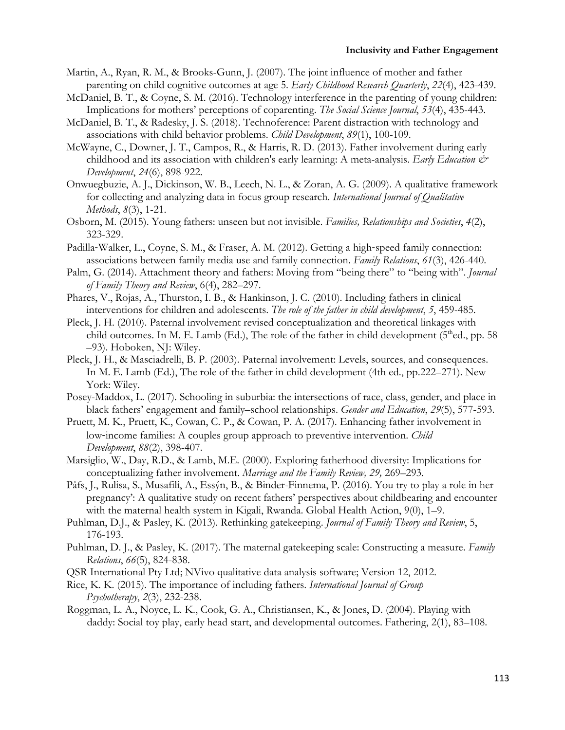#### **Inclusivity and Father Engagement**

- Martin, A., Ryan, R. M., & Brooks-Gunn, J. (2007). The joint influence of mother and father parenting on child cognitive outcomes at age 5. *Early Childhood Research Quarterly*, *22*(4), 423-439.
- McDaniel, B. T., & Coyne, S. M. (2016). Technology interference in the parenting of young children: Implications for mothers' perceptions of coparenting. *The Social Science Journal*, *53*(4), 435-443.
- McDaniel, B. T., & Radesky, J. S. (2018). Technoference: Parent distraction with technology and associations with child behavior problems. *Child Development*, *89*(1), 100-109.
- McWayne, C., Downer, J. T., Campos, R., & Harris, R. D. (2013). Father involvement during early childhood and its association with children's early learning: A meta-analysis. *Early Education & Development*, *24*(6), 898-922.
- Onwuegbuzie, A. J., Dickinson, W. B., Leech, N. L., & Zoran, A. G. (2009). A qualitative framework for collecting and analyzing data in focus group research. *International Journal of Qualitative Methods*, *8*(3), 1-21.
- Osborn, M. (2015). Young fathers: unseen but not invisible. *Families, Relationships and Societies*, *4*(2), 323-329.
- Padilla-Walker, L., Coyne, S. M., & Fraser, A. M. (2012). Getting a high-speed family connection: associations between family media use and family connection. *Family Relations*, *61*(3), 426-440.
- Palm, G. (2014). Attachment theory and fathers: Moving from "being there" to "being with". *Journal of Family Theory and Review*, 6(4), 282–297.
- Phares, V., Rojas, A., Thurston, I. B., & Hankinson, J. C. (2010). Including fathers in clinical interventions for children and adolescents. *The role of the father in child development*, *5*, 459-485.
- Pleck, J. H. (2010). Paternal involvement revised conceptualization and theoretical linkages with child outcomes. In M. E. Lamb (Ed.), The role of the father in child development  $(5<sup>th</sup>ed., pp. 58)$ –93). Hoboken, NJ: Wiley.
- Pleck, J. H., & Masciadrelli, B. P. (2003). Paternal involvement: Levels, sources, and consequences. In M. E. Lamb (Ed.), The role of the father in child development (4th ed., pp.222–271). New York: Wiley.
- Posey-Maddox, L. (2017). Schooling in suburbia: the intersections of race, class, gender, and place in black fathers' engagement and family–school relationships. *Gender and Education*, *29*(5), 577-593.
- Pruett, M. K., Pruett, K., Cowan, C. P., & Cowan, P. A. (2017). Enhancing father involvement in low-income families: A couples group approach to preventive intervention. *Child Development*, *88*(2), 398-407.
- Marsiglio, W., Day, R.D., & Lamb, M.E. (2000). Exploring fatherhood diversity: Implications for conceptualizing father involvement. *Marriage and the Family Review, 29,* 269–293.
- Påfs, J., Rulisa, S., Musafili, A., Essýn, B., & Binder-Finnema, P. (2016). You try to play a role in her pregnancy': A qualitative study on recent fathers' perspectives about childbearing and encounter with the maternal health system in Kigali, Rwanda. Global Health Action, 9(0), 1–9.
- Puhlman, D.J., & Pasley, K. (2013). Rethinking gatekeeping. *Journal of Family Theory and Review*, 5, 176-193.
- Puhlman, D. J., & Pasley, K. (2017). The maternal gatekeeping scale: Constructing a measure. *Family Relations*, *66*(5), 824-838.
- QSR International Pty Ltd; NVivo qualitative data analysis software; Version 12, 2012.
- Rice, K. K. (2015). The importance of including fathers. *International Journal of Group Psychotherapy*, *2*(3), 232-238.
- Roggman, L. A., Noyce, L. K., Cook, G. A., Christiansen, K., & Jones, D. (2004). Playing with daddy: Social toy play, early head start, and developmental outcomes. Fathering, 2(1), 83–108.